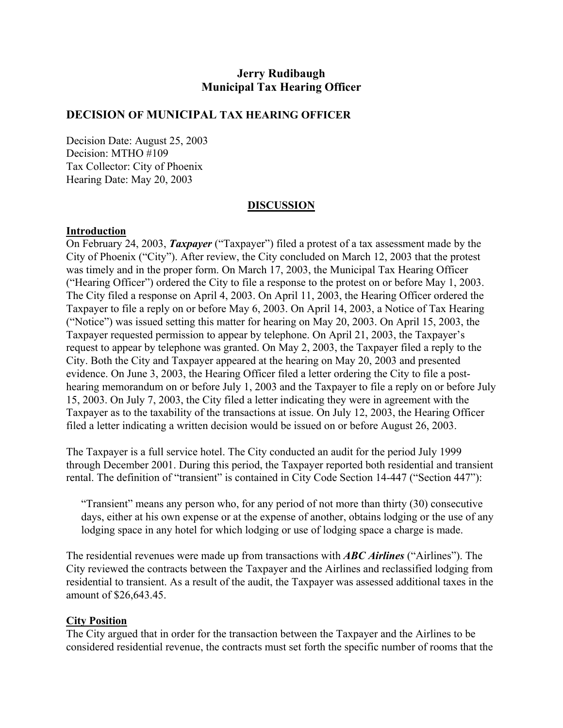# **Jerry Rudibaugh Municipal Tax Hearing Officer**

### **DECISION OF MUNICIPAL TAX HEARING OFFICER**

Decision Date: August 25, 2003 Decision: MTHO #109 Tax Collector: City of Phoenix Hearing Date: May 20, 2003

### **DISCUSSION**

#### **Introduction**

On February 24, 2003, *Taxpayer* ("Taxpayer") filed a protest of a tax assessment made by the City of Phoenix ("City"). After review, the City concluded on March 12, 2003 that the protest was timely and in the proper form. On March 17, 2003, the Municipal Tax Hearing Officer ("Hearing Officer") ordered the City to file a response to the protest on or before May 1, 2003. The City filed a response on April 4, 2003. On April 11, 2003, the Hearing Officer ordered the Taxpayer to file a reply on or before May 6, 2003. On April 14, 2003, a Notice of Tax Hearing ("Notice") was issued setting this matter for hearing on May 20, 2003. On April 15, 2003, the Taxpayer requested permission to appear by telephone. On April 21, 2003, the Taxpayer's request to appear by telephone was granted. On May 2, 2003, the Taxpayer filed a reply to the City. Both the City and Taxpayer appeared at the hearing on May 20, 2003 and presented evidence. On June 3, 2003, the Hearing Officer filed a letter ordering the City to file a posthearing memorandum on or before July 1, 2003 and the Taxpayer to file a reply on or before July 15, 2003. On July 7, 2003, the City filed a letter indicating they were in agreement with the Taxpayer as to the taxability of the transactions at issue. On July 12, 2003, the Hearing Officer filed a letter indicating a written decision would be issued on or before August 26, 2003.

The Taxpayer is a full service hotel. The City conducted an audit for the period July 1999 through December 2001. During this period, the Taxpayer reported both residential and transient rental. The definition of "transient" is contained in City Code Section 14-447 ("Section 447"):

"Transient" means any person who, for any period of not more than thirty (30) consecutive days, either at his own expense or at the expense of another, obtains lodging or the use of any lodging space in any hotel for which lodging or use of lodging space a charge is made.

The residential revenues were made up from transactions with *ABC Airlines* ("Airlines"). The City reviewed the contracts between the Taxpayer and the Airlines and reclassified lodging from residential to transient. As a result of the audit, the Taxpayer was assessed additional taxes in the amount of \$26,643.45.

### **City Position**

The City argued that in order for the transaction between the Taxpayer and the Airlines to be considered residential revenue, the contracts must set forth the specific number of rooms that the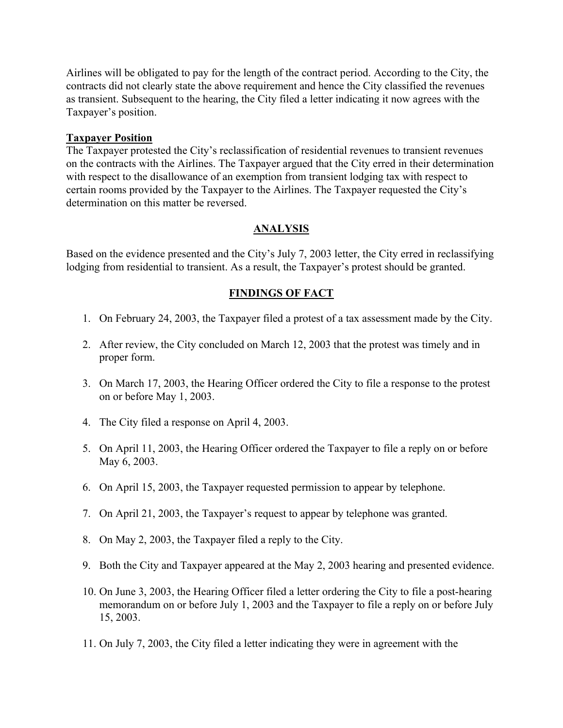Airlines will be obligated to pay for the length of the contract period. According to the City, the contracts did not clearly state the above requirement and hence the City classified the revenues as transient. Subsequent to the hearing, the City filed a letter indicating it now agrees with the Taxpayer's position.

### **Taxpayer Position**

The Taxpayer protested the City's reclassification of residential revenues to transient revenues on the contracts with the Airlines. The Taxpayer argued that the City erred in their determination with respect to the disallowance of an exemption from transient lodging tax with respect to certain rooms provided by the Taxpayer to the Airlines. The Taxpayer requested the City's determination on this matter be reversed.

# **ANALYSIS**

Based on the evidence presented and the City's July 7, 2003 letter, the City erred in reclassifying lodging from residential to transient. As a result, the Taxpayer's protest should be granted.

# **FINDINGS OF FACT**

- 1. On February 24, 2003, the Taxpayer filed a protest of a tax assessment made by the City.
- 2. After review, the City concluded on March 12, 2003 that the protest was timely and in proper form.
- 3. On March 17, 2003, the Hearing Officer ordered the City to file a response to the protest on or before May 1, 2003.
- 4. The City filed a response on April 4, 2003.
- 5. On April 11, 2003, the Hearing Officer ordered the Taxpayer to file a reply on or before May 6, 2003.
- 6. On April 15, 2003, the Taxpayer requested permission to appear by telephone.
- 7. On April 21, 2003, the Taxpayer's request to appear by telephone was granted.
- 8. On May 2, 2003, the Taxpayer filed a reply to the City.
- 9. Both the City and Taxpayer appeared at the May 2, 2003 hearing and presented evidence.
- 10. On June 3, 2003, the Hearing Officer filed a letter ordering the City to file a post-hearing memorandum on or before July 1, 2003 and the Taxpayer to file a reply on or before July 15, 2003.
- 11. On July 7, 2003, the City filed a letter indicating they were in agreement with the